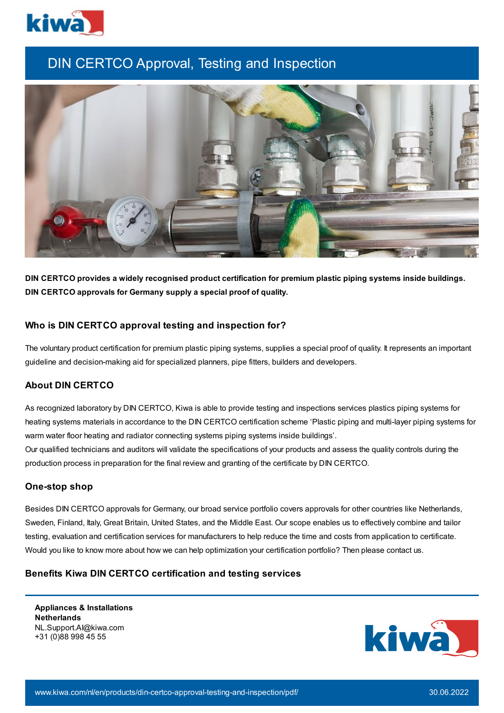

# DIN CERTCO Approval, Testing and Inspection



**DIN CERTCO provides a widely recognised product certification for premium plastic piping systems inside buildings. DIN CERTCO approvals for Germany supply a special proof of quality.**

## **Who is DIN CERTCO approval testing and inspection for?**

The voluntary product certification for premium plastic piping systems, supplies a special proof of quality. It represents an important guideline and decision-making aid for specialized planners, pipe fitters, builders and developers.

# **About DIN CERTCO**

As recognized laboratory by DIN CERTCO, Kiwa is able to provide testing and inspections services plastics piping systems for heating systems materials in accordance to the DIN CERTCO certification scheme 'Plastic piping and multi-layer piping systems for warm water floor heating and radiator connecting systems piping systems inside buildings'.

Our qualified technicians and auditors will validate the specifications of your products and assess the quality controls during the production process in preparation for the final review and granting of the certificate by DIN CERTCO.

#### **One-stop shop**

Besides DIN CERTCO approvals for Germany, our broad service portfolio covers approvals for other countries like Netherlands, Sweden, Finland, Italy, Great Britain, United States, and the Middle East. Our scope enables us to effectively combine and tailor testing, evaluation and certification services for manufacturers to help reduce the time and costs from application to certificate. Would you like to know more about how we can help optimization your certification portfolio? Then please contact us.

## **Benefits Kiwa DIN CERTCO certification and testing services**

**Appliances & Installations Netherlands** NL.Support.AI@kiwa.com +31 (0)88 998 45 55